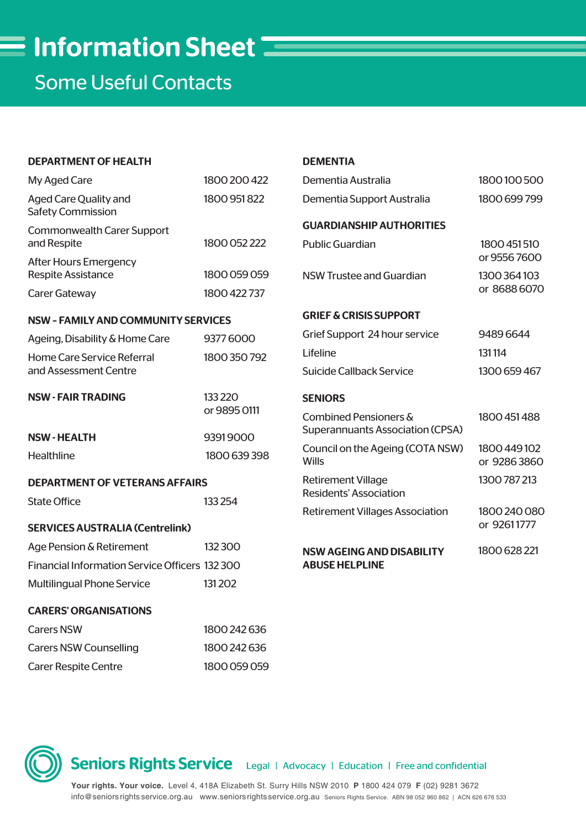Some Useful Contacts

| <b>DEPARTMENT OF HEALTH</b>                                            |                                      | <b>DEMENTIA</b>                                                             |                                             |
|------------------------------------------------------------------------|--------------------------------------|-----------------------------------------------------------------------------|---------------------------------------------|
| My Aged Care                                                           | 1800 200 422                         | Dementia Australia                                                          | 1800100500                                  |
| <b>Aged Care Quality and</b><br><b>Safety Commission</b>               | 1800 951 822                         | Dementia Support Australia                                                  | 1800 699 799                                |
| <b>Commonwealth Carer Support</b><br>and Respite                       | 1800 052 222                         | <b>GUARDIANSHIP AUTHORITIES</b><br><b>Public Guardian</b>                   | 1800 451 510                                |
| <b>After Hours Emergency</b><br><b>Respite Assistance</b>              | 1800 059 059                         | <b>NSW Trustee and Guardian</b>                                             | or 95567600<br>1300 364 103<br>or 8688 6070 |
| Carer Gateway                                                          | 1800 422 737                         |                                                                             |                                             |
| <b>NSW - FAMILY AND COMMUNITY SERVICES</b>                             |                                      | <b>GRIEF &amp; CRISIS SUPPORT</b>                                           |                                             |
| Ageing, Disability & Home Care                                         | 93776000                             | Grief Support 24 hour service                                               | 94896644                                    |
| Home Care Service Referral<br>and Assessment Centre                    | 1800 350 792                         | Lifeline                                                                    | 131114                                      |
|                                                                        |                                      | <b>Suicide Callback Service</b>                                             | 1300 659 467                                |
| <b>NSW - FAIR TRADING</b>                                              | 133 2 20<br>or 9895 0111<br>93919000 | <b>SENIORS</b>                                                              |                                             |
|                                                                        |                                      | <b>Combined Pensioners &amp;</b><br><b>Superannuants Association (CPSA)</b> | 1800 451 488                                |
| <b>NSW-HEALTH</b>                                                      |                                      | Council on the Ageing (COTA NSW)                                            | 1800 449 102                                |
| Healthline                                                             | 1800 639 398                         | <b>Wills</b>                                                                | or 92863860                                 |
| <b>DEPARTMENT OF VETERANS AFFAIRS</b><br><b>State Office</b><br>133254 |                                      | <b>Retirement Village</b><br><b>Residents' Association</b>                  | 1300 787 213                                |
|                                                                        |                                      | <b>Retirement Villages Association</b>                                      | 1800 240 080                                |
| <b>SERVICES AUSTRALIA (Centrelink)</b>                                 |                                      |                                                                             | or 92611777                                 |
| Age Pension & Retirement                                               | 132300                               | <b>NSW AGEING AND DISABILITY</b>                                            | 1800 628 221                                |
| Financial Information Service Officers 132 300                         |                                      | <b>ABUSE HELPLINE</b>                                                       |                                             |
| <b>Multilingual Phone Service</b>                                      | 131202                               |                                                                             |                                             |
| <b>CARERS' ORGANISATIONS</b>                                           |                                      |                                                                             |                                             |
| <b>Carers NSW</b>                                                      | 1800 242 636                         |                                                                             |                                             |
| <b>Carers NSW Counselling</b>                                          | 1800 242 636                         |                                                                             |                                             |

Carer Respite Centre 1800 059 059

Seniors Rights Service Legal | Advocacy | Education | Free and confidential

**Your rights. Your voice.** Level 4, 418A Elizabeth St. Surry Hills NSW 2010 **P** 1800 424 079 **F** (02) 9281 3672 info@seniorsrights service.org.au www.seniorsrights service.org.au Seniors Rights Service. ABN 98 052 960 862 | ACN 626 676 533